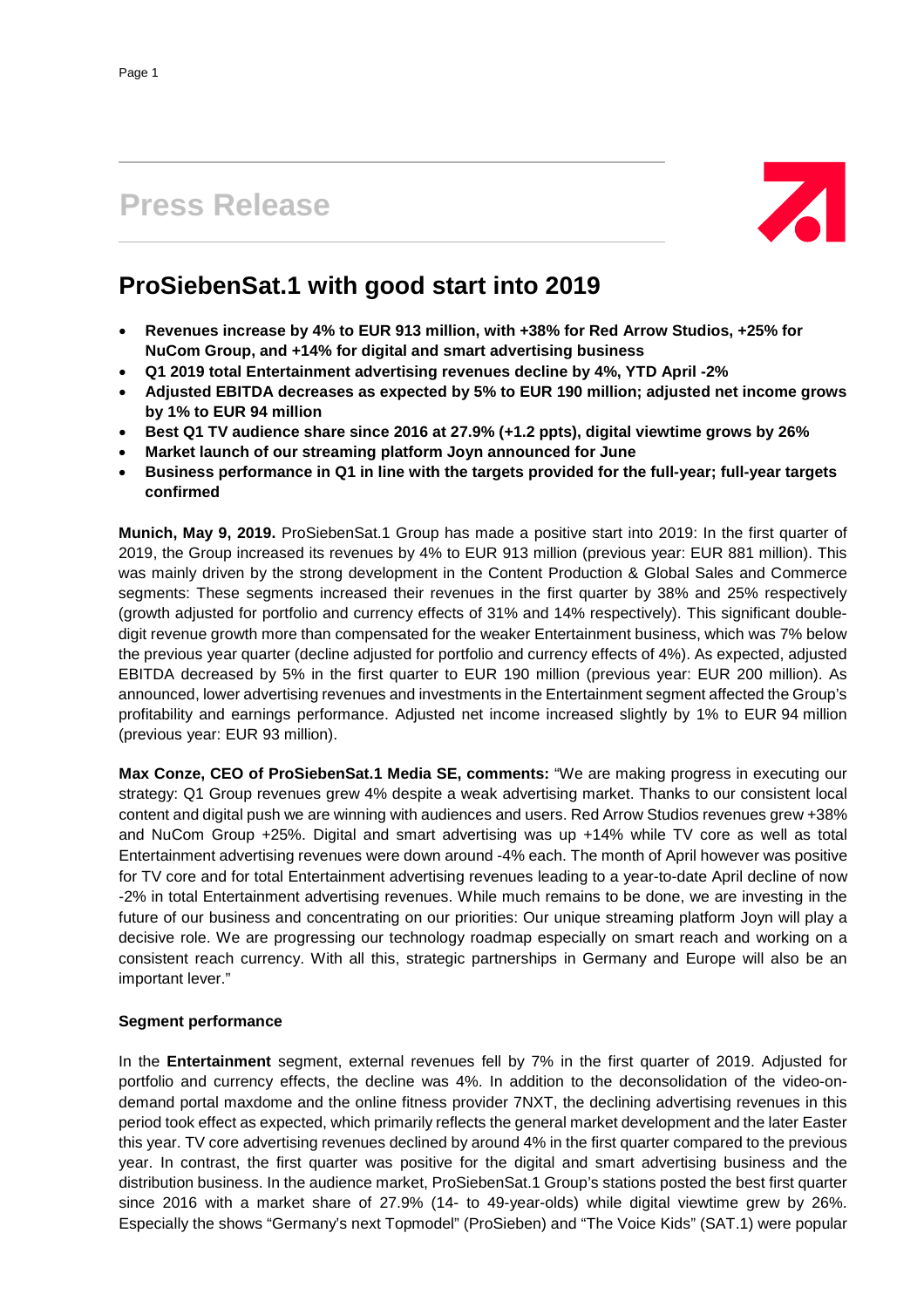# **Press Release**



## **ProSiebenSat.1 with good start into 2019**

- **Revenues increase by 4% to EUR 913 million, with +38% for Red Arrow Studios, +25% for NuCom Group, and +14% for digital and smart advertising business**
- **Q1 2019 total Entertainment advertising revenues decline by 4%, YTD April -2%**
- **Adjusted EBITDA decreases as expected by 5% to EUR 190 million; adjusted net income grows by 1% to EUR 94 million**
- **Best Q1 TV audience share since 2016 at 27.9% (+1.2 ppts), digital viewtime grows by 26%**
- **Market launch of our streaming platform Joyn announced for June**
- **Business performance in Q1 in line with the targets provided for the full-year; full-year targets confirmed**

**Munich, May 9, 2019.** ProSiebenSat.1 Group has made a positive start into 2019: In the first quarter of 2019, the Group increased its revenues by 4% to EUR 913 million (previous year: EUR 881 million). This was mainly driven by the strong development in the Content Production & Global Sales and Commerce segments: These segments increased their revenues in the first quarter by 38% and 25% respectively (growth adjusted for portfolio and currency effects of 31% and 14% respectively). This significant doubledigit revenue growth more than compensated for the weaker Entertainment business, which was 7% below the previous year quarter (decline adjusted for portfolio and currency effects of 4%). As expected, adjusted EBITDA decreased by 5% in the first quarter to EUR 190 million (previous year: EUR 200 million). As announced, lower advertising revenues and investments in the Entertainment segment affected the Group's profitability and earnings performance. Adjusted net income increased slightly by 1% to EUR 94 million (previous year: EUR 93 million).

**Max Conze, CEO of ProSiebenSat.1 Media SE, comments:** "We are making progress in executing our strategy: Q1 Group revenues grew 4% despite a weak advertising market. Thanks to our consistent local content and digital push we are winning with audiences and users. Red Arrow Studios revenues grew +38% and NuCom Group +25%. Digital and smart advertising was up +14% while TV core as well as total Entertainment advertising revenues were down around -4% each. The month of April however was positive for TV core and for total Entertainment advertising revenues leading to a year-to-date April decline of now -2% in total Entertainment advertising revenues. While much remains to be done, we are investing in the future of our business and concentrating on our priorities: Our unique streaming platform Joyn will play a decisive role. We are progressing our technology roadmap especially on smart reach and working on a consistent reach currency. With all this, strategic partnerships in Germany and Europe will also be an important lever."

### **Segment performance**

In the **Entertainment** segment, external revenues fell by 7% in the first quarter of 2019. Adjusted for portfolio and currency effects, the decline was 4%. In addition to the deconsolidation of the video-ondemand portal maxdome and the online fitness provider 7NXT, the declining advertising revenues in this period took effect as expected, which primarily reflects the general market development and the later Easter this year. TV core advertising revenues declined by around 4% in the first quarter compared to the previous year. In contrast, the first quarter was positive for the digital and smart advertising business and the distribution business. In the audience market, ProSiebenSat.1 Group's stations posted the best first quarter since 2016 with a market share of 27.9% (14- to 49-year-olds) while digital viewtime grew by 26%. Especially the shows "Germany's next Topmodel" (ProSieben) and "The Voice Kids" (SAT.1) were popular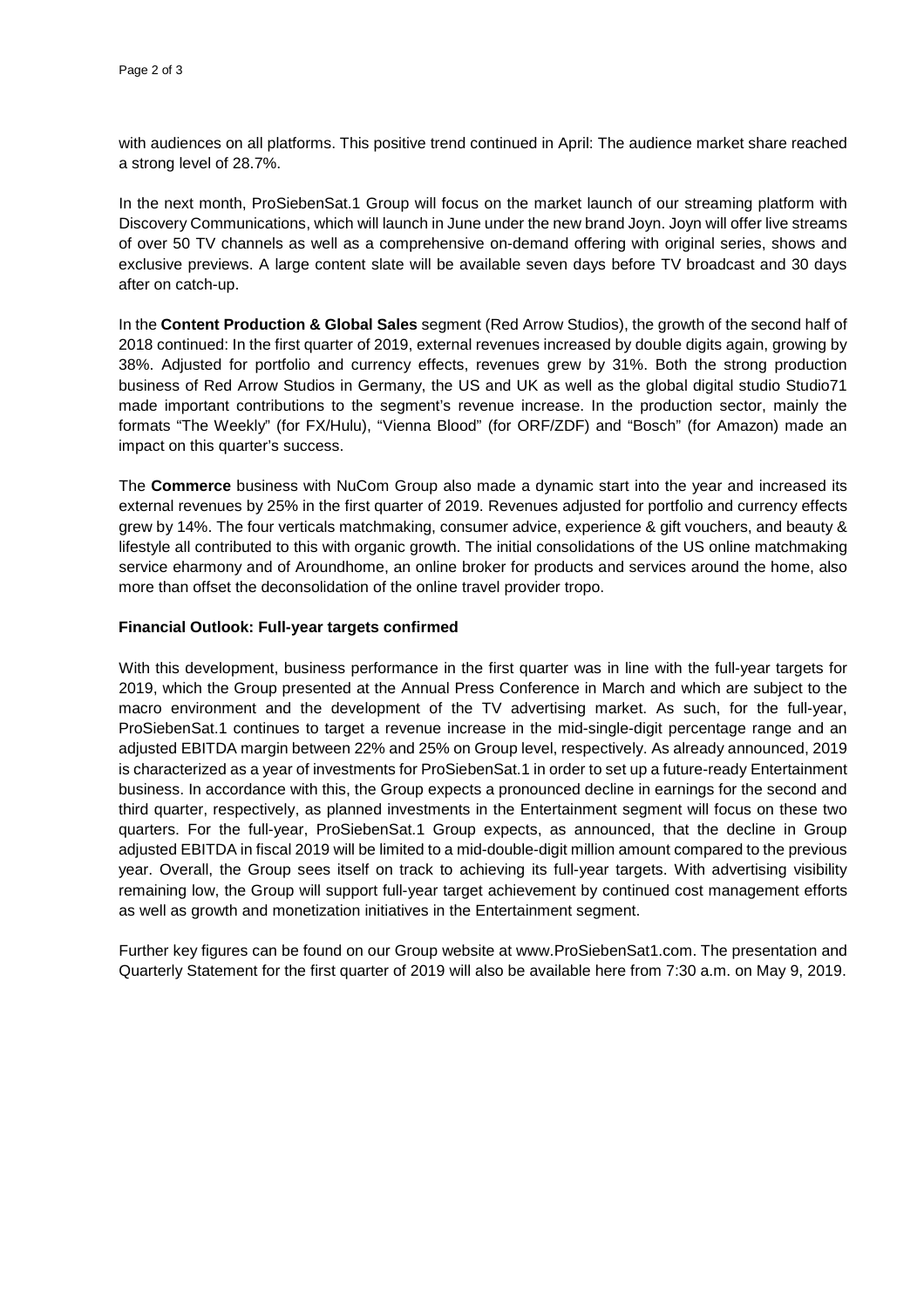with audiences on all platforms. This positive trend continued in April: The audience market share reached a strong level of 28.7%.

In the next month, ProSiebenSat.1 Group will focus on the market launch of our streaming platform with Discovery Communications, which will launch in June under the new brand Joyn. Joyn will offer live streams of over 50 TV channels as well as a comprehensive on-demand offering with original series, shows and exclusive previews. A large content slate will be available seven days before TV broadcast and 30 days after on catch-up.

In the **Content Production & Global Sales** segment (Red Arrow Studios), the growth of the second half of 2018 continued: In the first quarter of 2019, external revenues increased by double digits again, growing by 38%. Adjusted for portfolio and currency effects, revenues grew by 31%. Both the strong production business of Red Arrow Studios in Germany, the US and UK as well as the global digital studio Studio71 made important contributions to the segment's revenue increase. In the production sector, mainly the formats "The Weekly" (for FX/Hulu), "Vienna Blood" (for ORF/ZDF) and "Bosch" (for Amazon) made an impact on this quarter's success.

The **Commerce** business with NuCom Group also made a dynamic start into the year and increased its external revenues by 25% in the first quarter of 2019. Revenues adjusted for portfolio and currency effects grew by 14%. The four verticals matchmaking, consumer advice, experience & gift vouchers, and beauty & lifestyle all contributed to this with organic growth. The initial consolidations of the US online matchmaking service eharmony and of Aroundhome, an online broker for products and services around the home, also more than offset the deconsolidation of the online travel provider tropo.

#### **Financial Outlook: Full-year targets confirmed**

With this development, business performance in the first quarter was in line with the full-year targets for 2019, which the Group presented at the Annual Press Conference in March and which are subject to the macro environment and the development of the TV advertising market. As such, for the full-year, ProSiebenSat.1 continues to target a revenue increase in the mid-single-digit percentage range and an adjusted EBITDA margin between 22% and 25% on Group level, respectively. As already announced, 2019 is characterized as a year of investments for ProSiebenSat.1 in order to set up a future-ready Entertainment business. In accordance with this, the Group expects a pronounced decline in earnings for the second and third quarter, respectively, as planned investments in the Entertainment segment will focus on these two quarters. For the full-year, ProSiebenSat.1 Group expects, as announced, that the decline in Group adjusted EBITDA in fiscal 2019 will be limited to a mid-double-digit million amount compared to the previous year. Overall, the Group sees itself on track to achieving its full-year targets. With advertising visibility remaining low, the Group will support full-year target achievement by continued cost management efforts as well as growth and monetization initiatives in the Entertainment segment.

Further key figures can be found on our Group website at www.ProSiebenSat1.com. The presentation and Quarterly Statement for the first quarter of 2019 will also be available here from 7:30 a.m. on May 9, 2019.